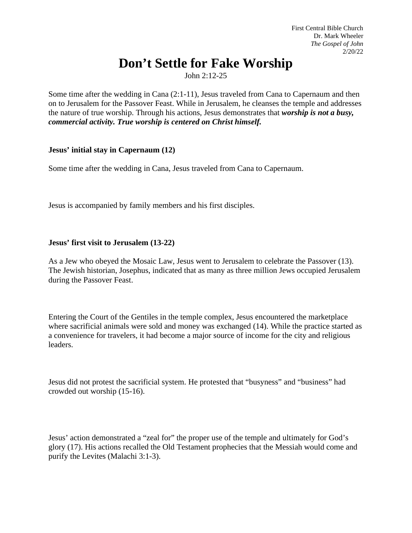# **Don't Settle for Fake Worship**

John 2:12-25

Some time after the wedding in Cana (2:1-11), Jesus traveled from Cana to Capernaum and then on to Jerusalem for the Passover Feast. While in Jerusalem, he cleanses the temple and addresses the nature of true worship. Through his actions, Jesus demonstrates that *worship is not a busy, commercial activity. True worship is centered on Christ himself.*

# **Jesus' initial stay in Capernaum (12)**

Some time after the wedding in Cana, Jesus traveled from Cana to Capernaum.

Jesus is accompanied by family members and his first disciples.

# **Jesus' first visit to Jerusalem (13-22)**

As a Jew who obeyed the Mosaic Law, Jesus went to Jerusalem to celebrate the Passover (13). The Jewish historian, Josephus, indicated that as many as three million Jews occupied Jerusalem during the Passover Feast.

Entering the Court of the Gentiles in the temple complex, Jesus encountered the marketplace where sacrificial animals were sold and money was exchanged (14). While the practice started as a convenience for travelers, it had become a major source of income for the city and religious leaders.

Jesus did not protest the sacrificial system. He protested that "busyness" and "business" had crowded out worship (15-16).

Jesus' action demonstrated a "zeal for" the proper use of the temple and ultimately for God's glory (17). His actions recalled the Old Testament prophecies that the Messiah would come and purify the Levites (Malachi 3:1-3).